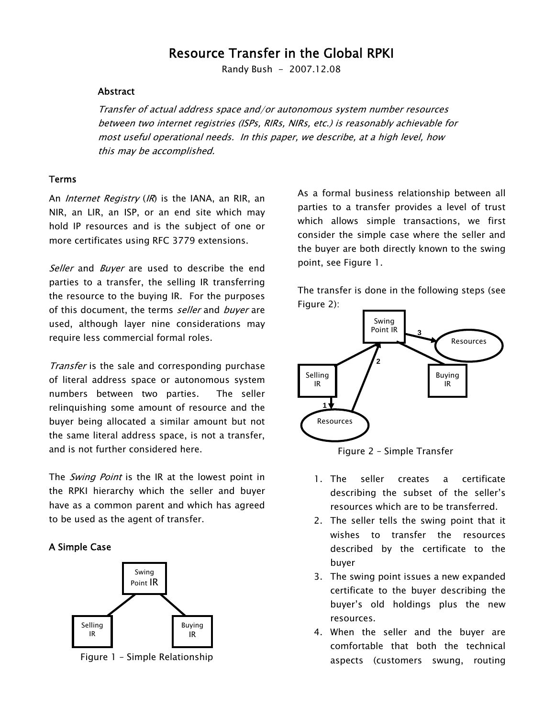# Resource Transfer in the Global RPKI

Randy Bush - 2007.12.08

#### Abstract

Transfer of actual address space and/or autonomous system number resources between two internet registries (ISPs, RIRs, NIRs, etc.) is reasonably achievable for most useful operational needs. In this paper, we describe, at a high level, how this may be accomplished.

#### Terms

An *Internet Registry (IR)* is the IANA, an RIR, an NIR, an LIR, an ISP, or an end site which may hold IP resources and is the subject of one or more certificates using RFC 3779 extensions.

Seller and Buyer are used to describe the end parties to a transfer, the selling IR transferring the resource to the buying IR. For the purposes of this document, the terms seller and buyer are used, although layer nine considerations may require less commercial formal roles.

Transfer is the sale and corresponding purchase of literal address space or autonomous system numbers between two parties. The seller relinquishing some amount of resource and the buyer being allocated a similar amount but not the same literal address space, is not a transfer, and is not further considered here.

The Swing Point is the IR at the lowest point in the RPKI hierarchy which the seller and buyer have as a common parent and which has agreed to be used as the agent of transfer.

#### A Simple Case



Figure 1 – Simple Relationship

As a formal business relationship between all parties to a transfer provides a level of trust which allows simple transactions, we first consider the simple case where the seller and the buyer are both directly known to the swing point, see Figure 1.

The transfer is done in the following steps (see Figure 2):



Figure 2 – Simple Transfer

- 1. The seller creates a certificate describing the subset of the seller's resources which are to be transferred.
- 2. The seller tells the swing point that it wishes to transfer the resources described by the certificate to the buyer
- 3. The swing point issues a new expanded certificate to the buyer describing the buyer's old holdings plus the new resources.
- 4. When the seller and the buyer are comfortable that both the technical aspects (customers swung, routing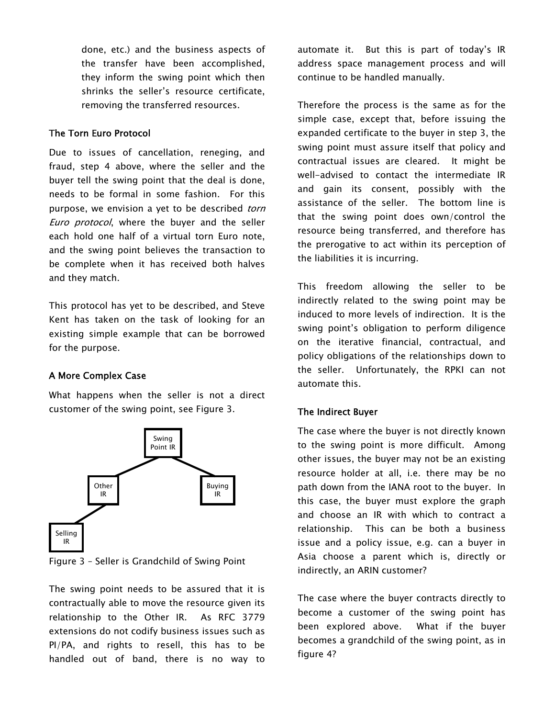done, etc.) and the business aspects of the transfer have been accomplished, they inform the swing point which then shrinks the seller's resource certificate, removing the transferred resources.

#### The Torn Euro Protocol

Due to issues of cancellation, reneging, and fraud, step 4 above, where the seller and the buyer tell the swing point that the deal is done, needs to be formal in some fashion. For this purpose, we envision a yet to be described *torn* Euro protocol, where the buver and the seller each hold one half of a virtual torn Euro note, and the swing point believes the transaction to be complete when it has received both halves and they match.

This protocol has yet to be described, and Steve Kent has taken on the task of looking for an existing simple example that can be borrowed for the purpose.

# A More Complex Case

What happens when the seller is not a direct customer of the swing point, see Figure 3.



Figure 3 – Seller is Grandchild of Swing Point

The swing point needs to be assured that it is contractually able to move the resource given its relationship to the Other IR. As RFC 3779 extensions do not codify business issues such as PI/PA, and rights to resell, this has to be handled out of band, there is no way to automate it. But this is part of today's IR address space management process and will continue to be handled manually.

Therefore the process is the same as for the simple case, except that, before issuing the expanded certificate to the buyer in step 3, the swing point must assure itself that policy and contractual issues are cleared. It might be well-advised to contact the intermediate IR and gain its consent, possibly with the assistance of the seller. The bottom line is that the swing point does own/control the resource being transferred, and therefore has the prerogative to act within its perception of the liabilities it is incurring.

This freedom allowing the seller to be indirectly related to the swing point may be induced to more levels of indirection. It is the swing point's obligation to perform diligence on the iterative financial, contractual, and policy obligations of the relationships down to the seller. Unfortunately, the RPKI can not automate this.

# The Indirect Buyer

The case where the buyer is not directly known to the swing point is more difficult. Among other issues, the buyer may not be an existing resource holder at all, i.e. there may be no path down from the IANA root to the buyer. In this case, the buyer must explore the graph and choose an IR with which to contract a relationship. This can be both a business issue and a policy issue, e.g. can a buyer in Asia choose a parent which is, directly or indirectly, an ARIN customer?

The case where the buyer contracts directly to become a customer of the swing point has been explored above. What if the buyer becomes a grandchild of the swing point, as in figure 4?